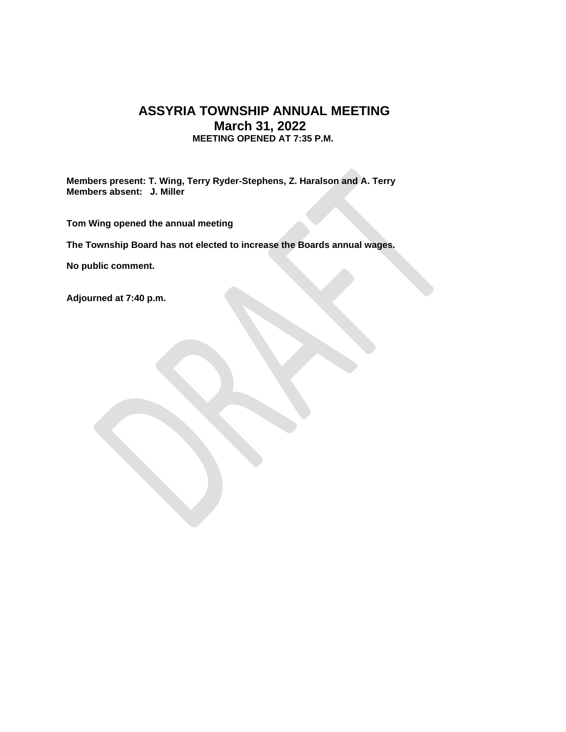## **ASSYRIA TOWNSHIP ANNUAL MEETING March 31, 2022 MEETING OPENED AT 7:35 P.M.**

**Members present: T. Wing, Terry Ryder-Stephens, Z. Haralson and A. Terry Members absent: J. Miller**

**Tom Wing opened the annual meeting**

**The Township Board has not elected to increase the Boards annual wages.** 

**No public comment.**

**Adjourned at 7:40 p.m.**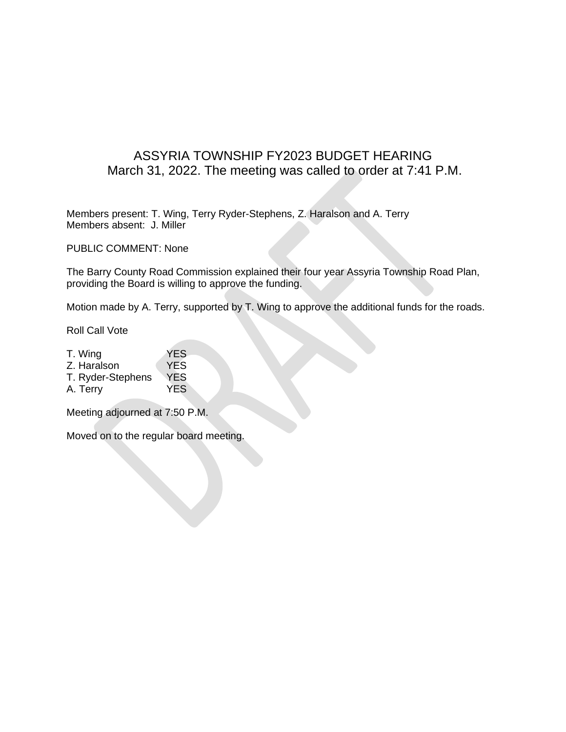## ASSYRIA TOWNSHIP FY2023 BUDGET HEARING March 31, 2022. The meeting was called to order at 7:41 P.M.

Members present: T. Wing, Terry Ryder-Stephens, Z. Haralson and A. Terry Members absent: J. Miller

PUBLIC COMMENT: None

The Barry County Road Commission explained their four year Assyria Township Road Plan, providing the Board is willing to approve the funding.

Motion made by A. Terry, supported by T. Wing to approve the additional funds for the roads.

Roll Call Vote

- T. Wing YES Z. Haralson YES T. Ryder-Stephens YES
- A. Terry YES

Meeting adjourned at 7:50 P.M.

Moved on to the regular board meeting.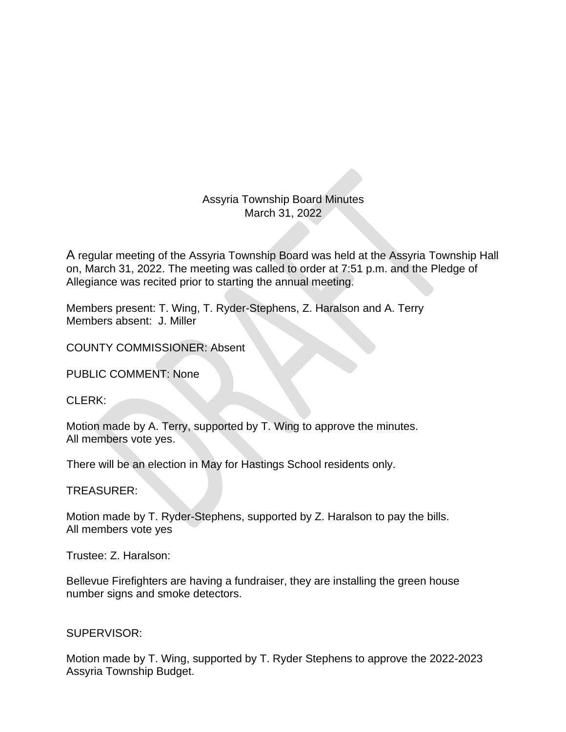Assyria Township Board Minutes March 31, 2022

A regular meeting of the Assyria Township Board was held at the Assyria Township Hall on, March 31, 2022. The meeting was called to order at 7:51 p.m. and the Pledge of Allegiance was recited prior to starting the annual meeting.

Members present: T. Wing, T. Ryder-Stephens, Z. Haralson and A. Terry Members absent: J. Miller

COUNTY COMMISSIONER: Absent

PUBLIC COMMENT: None

 $CI$  FRK:

Motion made by A. Terry, supported by T. Wing to approve the minutes. All members vote yes.

There will be an election in May for Hastings School residents only.

TREASURER:

Motion made by T. Ryder-Stephens, supported by Z. Haralson to pay the bills. All members vote yes

Trustee: Z. Haralson:

Bellevue Firefighters are having a fundraiser, they are installing the green house number signs and smoke detectors.

SUPERVISOR:

Motion made by T. Wing, supported by T. Ryder Stephens to approve the 2022-2023 Assyria Township Budget.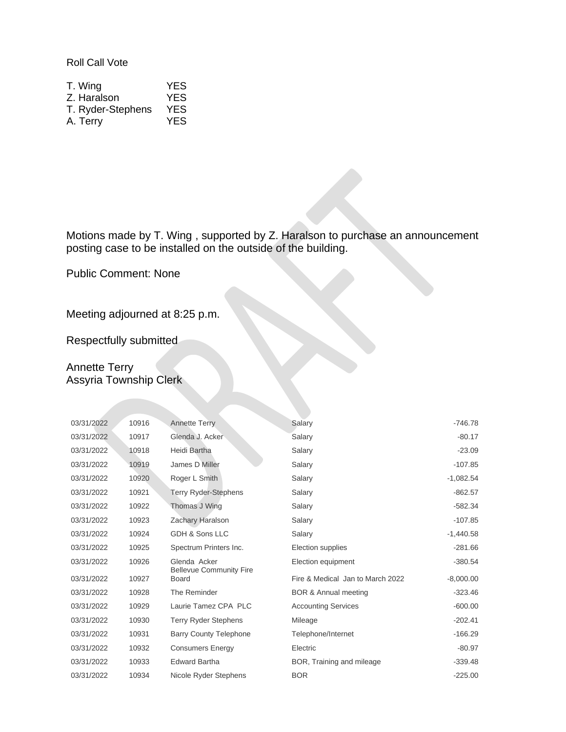Roll Call Vote

| T. Wing           | <b>YES</b> |
|-------------------|------------|
| Z. Haralson       | YES.       |
| T. Ryder-Stephens | <b>YES</b> |
| A. Terry          | YES.       |

Motions made by T. Wing , supported by Z. Haralson to purchase an announcement posting case to be installed on the outside of the building.

Public Comment: None

Meeting adjourned at 8:25 p.m.

Respectfully submitted

## Annette Terry Assyria Township Clerk

| 03/31/2022 | 10916 | <b>Annette Terry</b>                           | Salary                           | $-746.78$   |
|------------|-------|------------------------------------------------|----------------------------------|-------------|
| 03/31/2022 | 10917 | Glenda J. Acker                                | Salary                           | $-80.17$    |
| 03/31/2022 | 10918 | Heidi Bartha                                   | Salary                           | $-23.09$    |
| 03/31/2022 | 10919 | James D Miller                                 | Salary                           | $-107.85$   |
| 03/31/2022 | 10920 | Roger L Smith                                  | Salary                           | $-1,082.54$ |
| 03/31/2022 | 10921 | <b>Terry Ryder-Stephens</b>                    | Salary                           | $-862.57$   |
| 03/31/2022 | 10922 | Thomas J Wing                                  | Salary                           | $-582.34$   |
| 03/31/2022 | 10923 | Zachary Haralson                               | Salary                           | $-107.85$   |
| 03/31/2022 | 10924 | GDH & Sons LLC                                 | Salary                           | $-1,440.58$ |
| 03/31/2022 | 10925 | Spectrum Printers Inc.                         | Election supplies                | $-281.66$   |
| 03/31/2022 | 10926 | Glenda Acker                                   | Election equipment               | $-380.54$   |
| 03/31/2022 | 10927 | <b>Bellevue Community Fire</b><br><b>Board</b> | Fire & Medical Jan to March 2022 | $-8,000.00$ |
| 03/31/2022 | 10928 | The Reminder                                   | <b>BOR &amp; Annual meeting</b>  | $-323.46$   |
| 03/31/2022 | 10929 | Laurie Tamez CPA PLC                           | <b>Accounting Services</b>       | $-600.00$   |
| 03/31/2022 | 10930 | <b>Terry Ryder Stephens</b>                    | Mileage                          | $-202.41$   |
| 03/31/2022 | 10931 | <b>Barry County Telephone</b>                  | Telephone/Internet               | $-166.29$   |
| 03/31/2022 | 10932 | <b>Consumers Energy</b>                        | Electric                         | $-80.97$    |
| 03/31/2022 | 10933 | <b>Edward Bartha</b>                           | BOR, Training and mileage        | $-339.48$   |
| 03/31/2022 | 10934 | Nicole Ryder Stephens                          | <b>BOR</b>                       | $-225.00$   |